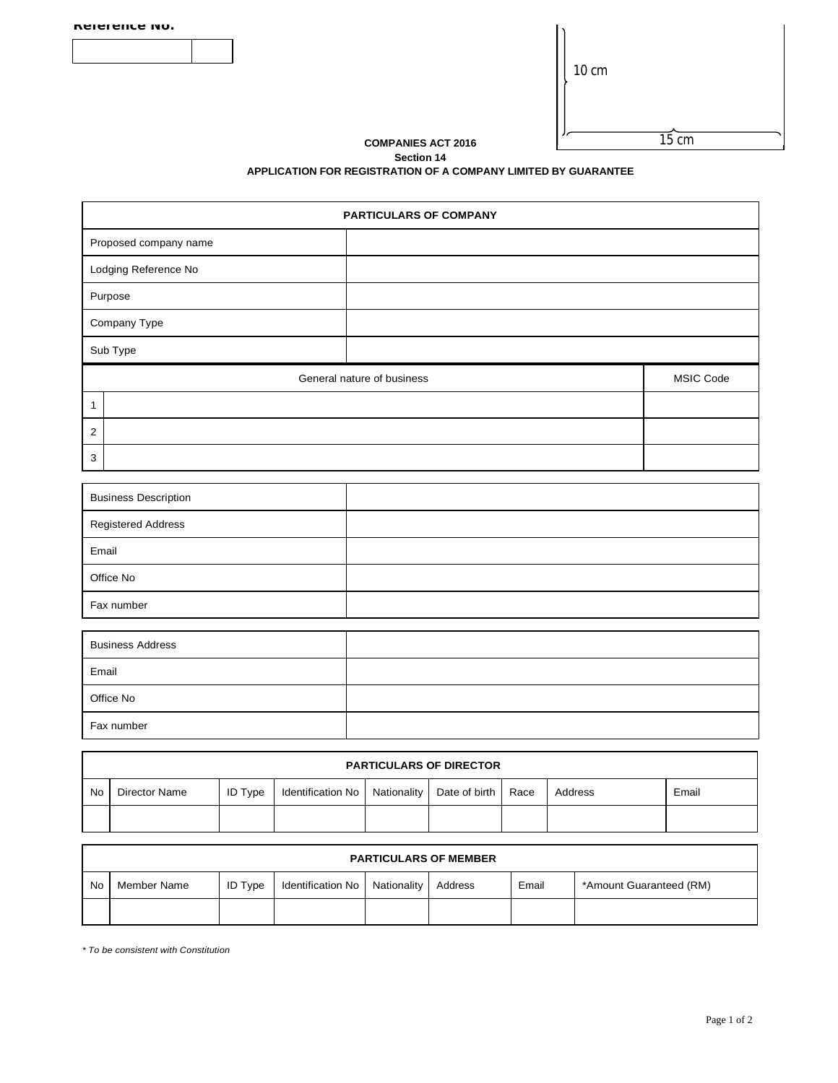| Reference No. |  |
|---------------|--|

| CITI |
|------|
|      |

İ,

**COMPANIES ACT 2016** 

 $\overline{15} \overline{cm}$ 

## **Section 14 APPLICATION FOR REGISTRATION OF A COMPANY LIMITED BY GUARANTEE**

| <b>PARTICULARS OF COMPANY</b>                  |  |  |  |  |  |
|------------------------------------------------|--|--|--|--|--|
| Proposed company name                          |  |  |  |  |  |
| Lodging Reference No                           |  |  |  |  |  |
| Purpose                                        |  |  |  |  |  |
| Company Type                                   |  |  |  |  |  |
| Sub Type                                       |  |  |  |  |  |
| General nature of business<br><b>MSIC Code</b> |  |  |  |  |  |
| 1                                              |  |  |  |  |  |
| $\overline{2}$                                 |  |  |  |  |  |
| 3                                              |  |  |  |  |  |

| <b>Business Description</b> |  |
|-----------------------------|--|
| <b>Registered Address</b>   |  |
| Email                       |  |
| Office No                   |  |
| Fax number                  |  |

| <b>Business Address</b> |  |
|-------------------------|--|
| Email                   |  |
| Office No               |  |
| Fax number              |  |

|    | <b>PARTICULARS OF DIRECTOR</b> |                |                                                        |  |  |  |         |       |
|----|--------------------------------|----------------|--------------------------------------------------------|--|--|--|---------|-------|
| No | Director Name                  | <b>ID Type</b> | Identification No   Nationality   Date of birth   Race |  |  |  | Address | Email |
|    |                                |                |                                                        |  |  |  |         |       |

|           | <b>PARTICULARS OF MEMBER</b> |                |                               |  |         |       |                         |
|-----------|------------------------------|----------------|-------------------------------|--|---------|-------|-------------------------|
| <b>No</b> | Member Name                  | <b>ID Type</b> | Identification No Nationality |  | Address | Email | *Amount Guaranteed (RM) |
|           |                              |                |                               |  |         |       |                         |

*\* To be consistent with Constitution*